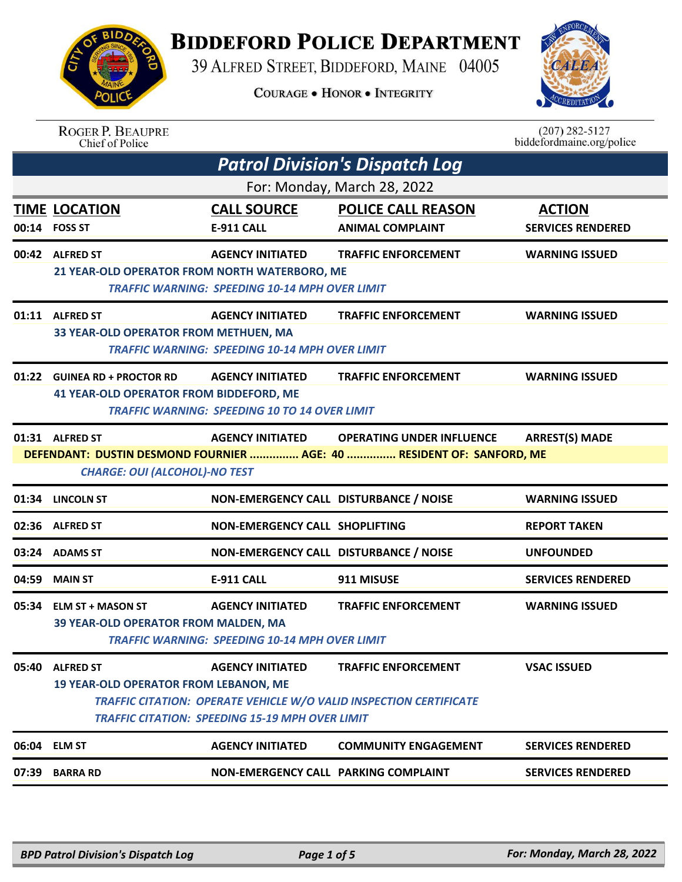## **BIDDEFORD POLICE DEPARTMENT**

39 ALFRED STREET, BIDDEFORD, MAINE 04005

**COURAGE . HONOR . INTEGRITY** 



| <b>ROGER P. BEAUPRE</b> |
|-------------------------|
| Chief of Police         |

 $(207)$  282-5127 biddefordmaine.org/police

|       | <b>Patrol Division's Dispatch Log</b>                                                                                                                                                                                    |                                                                                   |                                                                                                         |                                           |  |  |  |
|-------|--------------------------------------------------------------------------------------------------------------------------------------------------------------------------------------------------------------------------|-----------------------------------------------------------------------------------|---------------------------------------------------------------------------------------------------------|-------------------------------------------|--|--|--|
|       | For: Monday, March 28, 2022                                                                                                                                                                                              |                                                                                   |                                                                                                         |                                           |  |  |  |
|       | <b>TIME LOCATION</b><br>00:14 FOSS ST                                                                                                                                                                                    | <b>CALL SOURCE</b><br>E-911 CALL                                                  | <b>POLICE CALL REASON</b><br><b>ANIMAL COMPLAINT</b>                                                    | <b>ACTION</b><br><b>SERVICES RENDERED</b> |  |  |  |
|       | 00:42 ALFRED ST<br>21 YEAR-OLD OPERATOR FROM NORTH WATERBORO, ME                                                                                                                                                         | <b>AGENCY INITIATED</b><br><b>TRAFFIC WARNING: SPEEDING 10-14 MPH OVER LIMIT</b>  | <b>TRAFFIC ENFORCEMENT</b>                                                                              | <b>WARNING ISSUED</b>                     |  |  |  |
|       | 01:11 ALFRED ST<br>33 YEAR-OLD OPERATOR FROM METHUEN, MA                                                                                                                                                                 | <b>AGENCY INITIATED</b><br><b>TRAFFIC WARNING: SPEEDING 10-14 MPH OVER LIMIT</b>  | <b>TRAFFIC ENFORCEMENT</b>                                                                              | <b>WARNING ISSUED</b>                     |  |  |  |
|       | 01:22 GUINEA RD + PROCTOR RD<br>41 YEAR-OLD OPERATOR FROM BIDDEFORD, ME                                                                                                                                                  | <b>AGENCY INITIATED</b><br><b>TRAFFIC WARNING: SPEEDING 10 TO 14 OVER LIMIT</b>   | <b>TRAFFIC ENFORCEMENT</b>                                                                              | <b>WARNING ISSUED</b>                     |  |  |  |
|       | 01:31 ALFRED ST<br><b>ARREST(S) MADE</b><br><b>AGENCY INITIATED</b><br><b>OPERATING UNDER INFLUENCE</b><br>DEFENDANT: DUSTIN DESMOND FOURNIER  AGE: 40  RESIDENT OF: SANFORD, ME<br><b>CHARGE: OUI (ALCOHOL)-NO TEST</b> |                                                                                   |                                                                                                         |                                           |  |  |  |
|       | 01:34 LINCOLN ST                                                                                                                                                                                                         | NON-EMERGENCY CALL DISTURBANCE / NOISE                                            |                                                                                                         | <b>WARNING ISSUED</b>                     |  |  |  |
|       | 02:36 ALFRED ST                                                                                                                                                                                                          | <b>NON-EMERGENCY CALL SHOPLIFTING</b>                                             |                                                                                                         | <b>REPORT TAKEN</b>                       |  |  |  |
|       | 03:24 ADAMS ST                                                                                                                                                                                                           | NON-EMERGENCY CALL DISTURBANCE / NOISE                                            |                                                                                                         | <b>UNFOUNDED</b>                          |  |  |  |
| 04:59 | <b>MAIN ST</b>                                                                                                                                                                                                           | E-911 CALL                                                                        | 911 MISUSE                                                                                              | <b>SERVICES RENDERED</b>                  |  |  |  |
|       | 05:34 ELM ST + MASON ST<br>39 YEAR-OLD OPERATOR FROM MALDEN, MA                                                                                                                                                          | <b>AGENCY INITIATED</b><br><b>TRAFFIC WARNING: SPEEDING 10-14 MPH OVER LIMIT</b>  | <b>TRAFFIC ENFORCEMENT</b>                                                                              | <b>WARNING ISSUED</b>                     |  |  |  |
|       | 05:40 ALFRED ST<br><b>19 YEAR-OLD OPERATOR FROM LEBANON, ME</b>                                                                                                                                                          | <b>AGENCY INITIATED</b><br><b>TRAFFIC CITATION: SPEEDING 15-19 MPH OVER LIMIT</b> | <b>TRAFFIC ENFORCEMENT</b><br><b>TRAFFIC CITATION: OPERATE VEHICLE W/O VALID INSPECTION CERTIFICATE</b> | <b>VSAC ISSUED</b>                        |  |  |  |
|       | 06:04 ELM ST                                                                                                                                                                                                             | <b>AGENCY INITIATED</b>                                                           | <b>COMMUNITY ENGAGEMENT</b>                                                                             | <b>SERVICES RENDERED</b>                  |  |  |  |
| 07:39 | <b>BARRA RD</b>                                                                                                                                                                                                          | NON-EMERGENCY CALL PARKING COMPLAINT                                              |                                                                                                         | <b>SERVICES RENDERED</b>                  |  |  |  |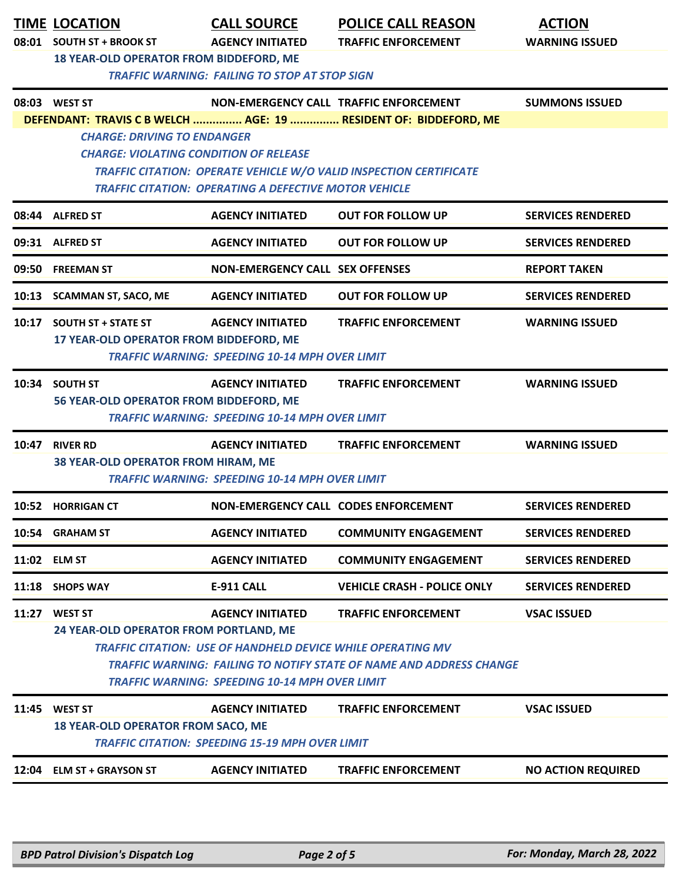|       | <b>TIME LOCATION</b><br>08:01 SOUTH ST + BROOK ST                                                                                   | <b>CALL SOURCE</b><br><b>AGENCY INITIATED</b>                      | <b>POLICE CALL REASON</b><br><b>TRAFFIC ENFORCEMENT</b>                   | <b>ACTION</b><br><b>WARNING ISSUED</b> |  |  |
|-------|-------------------------------------------------------------------------------------------------------------------------------------|--------------------------------------------------------------------|---------------------------------------------------------------------------|----------------------------------------|--|--|
|       | <b>18 YEAR-OLD OPERATOR FROM BIDDEFORD, ME</b>                                                                                      | <b>TRAFFIC WARNING: FAILING TO STOP AT STOP SIGN</b>               |                                                                           |                                        |  |  |
|       | 08:03 WEST ST                                                                                                                       |                                                                    | NON-EMERGENCY CALL TRAFFIC ENFORCEMENT                                    | <b>SUMMONS ISSUED</b>                  |  |  |
|       | <b>CHARGE: DRIVING TO ENDANGER</b>                                                                                                  |                                                                    | DEFENDANT: TRAVIS C B WELCH  AGE: 19  RESIDENT OF: BIDDEFORD, ME          |                                        |  |  |
|       | <b>CHARGE: VIOLATING CONDITION OF RELEASE</b>                                                                                       |                                                                    |                                                                           |                                        |  |  |
|       |                                                                                                                                     |                                                                    | <b>TRAFFIC CITATION: OPERATE VEHICLE W/O VALID INSPECTION CERTIFICATE</b> |                                        |  |  |
|       |                                                                                                                                     | <b>TRAFFIC CITATION: OPERATING A DEFECTIVE MOTOR VEHICLE</b>       |                                                                           |                                        |  |  |
|       | 08:44 ALFRED ST                                                                                                                     | <b>AGENCY INITIATED</b>                                            | <b>OUT FOR FOLLOW UP</b>                                                  | <b>SERVICES RENDERED</b>               |  |  |
|       | 09:31 ALFRED ST                                                                                                                     | <b>AGENCY INITIATED</b>                                            | <b>OUT FOR FOLLOW UP</b>                                                  | <b>SERVICES RENDERED</b>               |  |  |
| 09:50 | <b>FREEMAN ST</b>                                                                                                                   | <b>NON-EMERGENCY CALL SEX OFFENSES</b>                             |                                                                           | <b>REPORT TAKEN</b>                    |  |  |
|       | 10:13 SCAMMAN ST, SACO, ME                                                                                                          | <b>AGENCY INITIATED</b>                                            | <b>OUT FOR FOLLOW UP</b>                                                  | <b>SERVICES RENDERED</b>               |  |  |
| 10:17 | <b>SOUTH ST + STATE ST</b>                                                                                                          | <b>AGENCY INITIATED</b>                                            | <b>TRAFFIC ENFORCEMENT</b>                                                | <b>WARNING ISSUED</b>                  |  |  |
|       | 17 YEAR-OLD OPERATOR FROM BIDDEFORD, ME                                                                                             | <b>TRAFFIC WARNING: SPEEDING 10-14 MPH OVER LIMIT</b>              |                                                                           |                                        |  |  |
|       | 10:34 SOUTH ST                                                                                                                      | <b>AGENCY INITIATED</b>                                            | <b>TRAFFIC ENFORCEMENT</b>                                                | <b>WARNING ISSUED</b>                  |  |  |
|       | 56 YEAR-OLD OPERATOR FROM BIDDEFORD, ME                                                                                             | <b>TRAFFIC WARNING: SPEEDING 10-14 MPH OVER LIMIT</b>              |                                                                           |                                        |  |  |
| 10:47 | <b>RIVER RD</b>                                                                                                                     | <b>AGENCY INITIATED</b>                                            | <b>TRAFFIC ENFORCEMENT</b>                                                | <b>WARNING ISSUED</b>                  |  |  |
|       | 38 YEAR-OLD OPERATOR FROM HIRAM, ME                                                                                                 | <b>TRAFFIC WARNING: SPEEDING 10-14 MPH OVER LIMIT</b>              |                                                                           |                                        |  |  |
|       | 10:52 HORRIGAN CT                                                                                                                   | NON-EMERGENCY CALL CODES ENFORCEMENT                               |                                                                           | <b>SERVICES RENDERED</b>               |  |  |
|       | 10:54 GRAHAM ST                                                                                                                     | <b>AGENCY INITIATED</b>                                            | <b>COMMUNITY ENGAGEMENT</b>                                               | <b>SERVICES RENDERED</b>               |  |  |
|       | 11:02 ELM ST                                                                                                                        | <b>AGENCY INITIATED</b>                                            | <b>COMMUNITY ENGAGEMENT</b>                                               | <b>SERVICES RENDERED</b>               |  |  |
|       | 11:18 SHOPS WAY                                                                                                                     | <b>E-911 CALL</b>                                                  | <b>VEHICLE CRASH - POLICE ONLY</b>                                        | <b>SERVICES RENDERED</b>               |  |  |
| 11:27 | <b>WEST ST</b>                                                                                                                      | <b>AGENCY INITIATED</b>                                            | <b>TRAFFIC ENFORCEMENT</b>                                                | <b>VSAC ISSUED</b>                     |  |  |
|       | 24 YEAR-OLD OPERATOR FROM PORTLAND, ME                                                                                              |                                                                    |                                                                           |                                        |  |  |
|       |                                                                                                                                     | <b>TRAFFIC CITATION: USE OF HANDHELD DEVICE WHILE OPERATING MV</b> |                                                                           |                                        |  |  |
|       | <b>TRAFFIC WARNING: FAILING TO NOTIFY STATE OF NAME AND ADDRESS CHANGE</b><br><b>TRAFFIC WARNING: SPEEDING 10-14 MPH OVER LIMIT</b> |                                                                    |                                                                           |                                        |  |  |
| 11:45 | <b>WEST ST</b>                                                                                                                      | <b>AGENCY INITIATED</b>                                            | <b>TRAFFIC ENFORCEMENT</b>                                                | <b>VSAC ISSUED</b>                     |  |  |
|       | <b>18 YEAR-OLD OPERATOR FROM SACO, ME</b>                                                                                           | <b>TRAFFIC CITATION: SPEEDING 15-19 MPH OVER LIMIT</b>             |                                                                           |                                        |  |  |
|       | 12:04 ELM ST + GRAYSON ST                                                                                                           | <b>AGENCY INITIATED</b>                                            | <b>TRAFFIC ENFORCEMENT</b>                                                | <b>NO ACTION REQUIRED</b>              |  |  |
|       |                                                                                                                                     |                                                                    |                                                                           |                                        |  |  |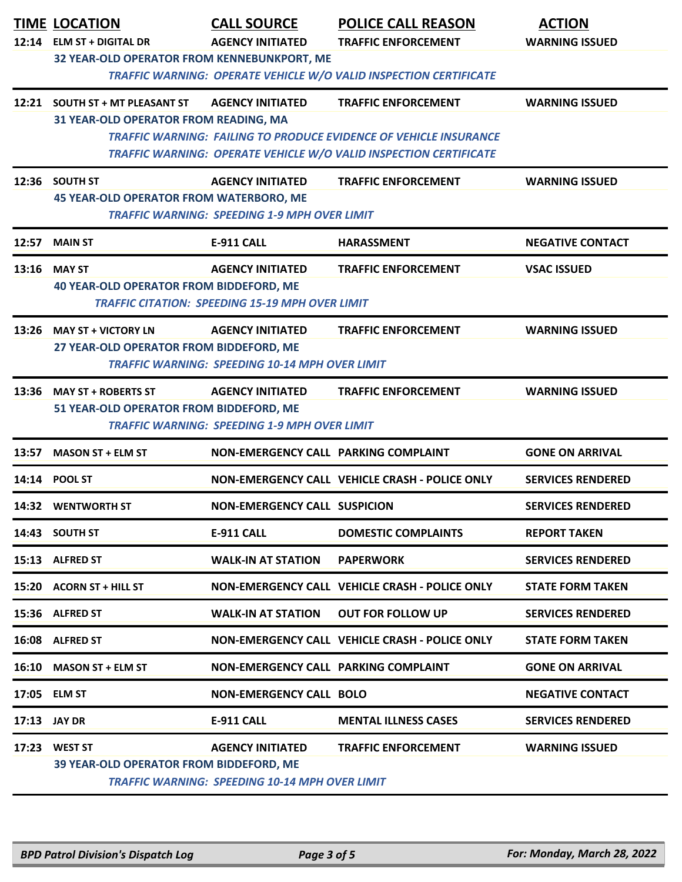| 12:14 ELM ST + DIGITAL DR<br><b>AGENCY INITIATED</b><br><b>TRAFFIC ENFORCEMENT</b><br><b>WARNING ISSUED</b><br>32 YEAR-OLD OPERATOR FROM KENNEBUNKPORT, ME<br><b>TRAFFIC WARNING: OPERATE VEHICLE W/O VALID INSPECTION CERTIFICATE</b><br><b>AGENCY INITIATED</b><br><b>WARNING ISSUED</b><br>12:21 SOUTH ST + MT PLEASANT ST<br><b>TRAFFIC ENFORCEMENT</b><br>31 YEAR-OLD OPERATOR FROM READING, MA<br><b>TRAFFIC WARNING: FAILING TO PRODUCE EVIDENCE OF VEHICLE INSURANCE</b><br>TRAFFIC WARNING: OPERATE VEHICLE W/O VALID INSPECTION CERTIFICATE<br>12:36 SOUTH ST<br><b>AGENCY INITIATED</b><br><b>TRAFFIC ENFORCEMENT</b><br><b>WARNING ISSUED</b><br><b>45 YEAR-OLD OPERATOR FROM WATERBORO, ME</b><br><b>TRAFFIC WARNING: SPEEDING 1-9 MPH OVER LIMIT</b><br>12:57<br><b>E-911 CALL</b><br><b>NEGATIVE CONTACT</b><br><b>MAIN ST</b><br><b>HARASSMENT</b><br>13:16 MAY ST<br><b>AGENCY INITIATED</b><br><b>TRAFFIC ENFORCEMENT</b><br><b>VSAC ISSUED</b><br>40 YEAR-OLD OPERATOR FROM BIDDEFORD, ME<br><b>TRAFFIC CITATION: SPEEDING 15-19 MPH OVER LIMIT</b><br>13:26 MAY ST + VICTORY LN<br><b>TRAFFIC ENFORCEMENT</b><br><b>WARNING ISSUED</b><br><b>AGENCY INITIATED</b><br>27 YEAR-OLD OPERATOR FROM BIDDEFORD, ME<br><b>TRAFFIC WARNING: SPEEDING 10-14 MPH OVER LIMIT</b><br>13:36 MAY ST + ROBERTS ST<br><b>AGENCY INITIATED</b><br><b>TRAFFIC ENFORCEMENT</b><br><b>WARNING ISSUED</b><br>51 YEAR-OLD OPERATOR FROM BIDDEFORD, ME<br><b>TRAFFIC WARNING: SPEEDING 1-9 MPH OVER LIMIT</b><br>NON-EMERGENCY CALL PARKING COMPLAINT<br><b>GONE ON ARRIVAL</b><br>13:57<br><b>MASON ST + ELM ST</b><br>NON-EMERGENCY CALL VEHICLE CRASH - POLICE ONLY<br><b>SERVICES RENDERED</b><br>14:14 POOL ST<br>14:32 WENTWORTH ST<br><b>NON-EMERGENCY CALL SUSPICION</b><br><b>SERVICES RENDERED</b><br>14:43 SOUTH ST<br><b>E-911 CALL</b><br><b>DOMESTIC COMPLAINTS</b><br><b>REPORT TAKEN</b><br><b>WALK-IN AT STATION</b><br><b>SERVICES RENDERED</b><br>15:13 ALFRED ST<br><b>PAPERWORK</b><br>NON-EMERGENCY CALL VEHICLE CRASH - POLICE ONLY<br><b>STATE FORM TAKEN</b><br>15:20 ACORN ST + HILL ST<br><b>WALK-IN AT STATION</b><br><b>OUT FOR FOLLOW UP</b><br><b>SERVICES RENDERED</b><br>15:36 ALFRED ST<br>16:08 ALFRED ST<br>NON-EMERGENCY CALL VEHICLE CRASH - POLICE ONLY<br><b>STATE FORM TAKEN</b><br>16:10 MASON ST + ELM ST<br>NON-EMERGENCY CALL PARKING COMPLAINT<br><b>GONE ON ARRIVAL</b><br><b>NON-EMERGENCY CALL BOLO</b><br><b>NEGATIVE CONTACT</b><br>17:05 ELM ST<br>E-911 CALL<br>17:13 JAY DR<br><b>MENTAL ILLNESS CASES</b><br><b>SERVICES RENDERED</b><br>17:23 WEST ST<br><b>AGENCY INITIATED</b><br><b>TRAFFIC ENFORCEMENT</b><br><b>WARNING ISSUED</b><br>39 YEAR-OLD OPERATOR FROM BIDDEFORD, ME<br><b>TRAFFIC WARNING: SPEEDING 10-14 MPH OVER LIMIT</b> | <b>TIME LOCATION</b> | <b>CALL SOURCE</b> | <b>POLICE CALL REASON</b> | <b>ACTION</b> |  |
|--------------------------------------------------------------------------------------------------------------------------------------------------------------------------------------------------------------------------------------------------------------------------------------------------------------------------------------------------------------------------------------------------------------------------------------------------------------------------------------------------------------------------------------------------------------------------------------------------------------------------------------------------------------------------------------------------------------------------------------------------------------------------------------------------------------------------------------------------------------------------------------------------------------------------------------------------------------------------------------------------------------------------------------------------------------------------------------------------------------------------------------------------------------------------------------------------------------------------------------------------------------------------------------------------------------------------------------------------------------------------------------------------------------------------------------------------------------------------------------------------------------------------------------------------------------------------------------------------------------------------------------------------------------------------------------------------------------------------------------------------------------------------------------------------------------------------------------------------------------------------------------------------------------------------------------------------------------------------------------------------------------------------------------------------------------------------------------------------------------------------------------------------------------------------------------------------------------------------------------------------------------------------------------------------------------------------------------------------------------------------------------------------------------------------------------------------------------------------------------------------------------------------------------------------------------------------------------------------------------------------------------------------------------------------------------------------------------------------------------------------------------------------------------------------|----------------------|--------------------|---------------------------|---------------|--|
|                                                                                                                                                                                                                                                                                                                                                                                                                                                                                                                                                                                                                                                                                                                                                                                                                                                                                                                                                                                                                                                                                                                                                                                                                                                                                                                                                                                                                                                                                                                                                                                                                                                                                                                                                                                                                                                                                                                                                                                                                                                                                                                                                                                                                                                                                                                                                                                                                                                                                                                                                                                                                                                                                                                                                                                                  |                      |                    |                           |               |  |
|                                                                                                                                                                                                                                                                                                                                                                                                                                                                                                                                                                                                                                                                                                                                                                                                                                                                                                                                                                                                                                                                                                                                                                                                                                                                                                                                                                                                                                                                                                                                                                                                                                                                                                                                                                                                                                                                                                                                                                                                                                                                                                                                                                                                                                                                                                                                                                                                                                                                                                                                                                                                                                                                                                                                                                                                  |                      |                    |                           |               |  |
|                                                                                                                                                                                                                                                                                                                                                                                                                                                                                                                                                                                                                                                                                                                                                                                                                                                                                                                                                                                                                                                                                                                                                                                                                                                                                                                                                                                                                                                                                                                                                                                                                                                                                                                                                                                                                                                                                                                                                                                                                                                                                                                                                                                                                                                                                                                                                                                                                                                                                                                                                                                                                                                                                                                                                                                                  |                      |                    |                           |               |  |
|                                                                                                                                                                                                                                                                                                                                                                                                                                                                                                                                                                                                                                                                                                                                                                                                                                                                                                                                                                                                                                                                                                                                                                                                                                                                                                                                                                                                                                                                                                                                                                                                                                                                                                                                                                                                                                                                                                                                                                                                                                                                                                                                                                                                                                                                                                                                                                                                                                                                                                                                                                                                                                                                                                                                                                                                  |                      |                    |                           |               |  |
|                                                                                                                                                                                                                                                                                                                                                                                                                                                                                                                                                                                                                                                                                                                                                                                                                                                                                                                                                                                                                                                                                                                                                                                                                                                                                                                                                                                                                                                                                                                                                                                                                                                                                                                                                                                                                                                                                                                                                                                                                                                                                                                                                                                                                                                                                                                                                                                                                                                                                                                                                                                                                                                                                                                                                                                                  |                      |                    |                           |               |  |
|                                                                                                                                                                                                                                                                                                                                                                                                                                                                                                                                                                                                                                                                                                                                                                                                                                                                                                                                                                                                                                                                                                                                                                                                                                                                                                                                                                                                                                                                                                                                                                                                                                                                                                                                                                                                                                                                                                                                                                                                                                                                                                                                                                                                                                                                                                                                                                                                                                                                                                                                                                                                                                                                                                                                                                                                  |                      |                    |                           |               |  |
|                                                                                                                                                                                                                                                                                                                                                                                                                                                                                                                                                                                                                                                                                                                                                                                                                                                                                                                                                                                                                                                                                                                                                                                                                                                                                                                                                                                                                                                                                                                                                                                                                                                                                                                                                                                                                                                                                                                                                                                                                                                                                                                                                                                                                                                                                                                                                                                                                                                                                                                                                                                                                                                                                                                                                                                                  |                      |                    |                           |               |  |
|                                                                                                                                                                                                                                                                                                                                                                                                                                                                                                                                                                                                                                                                                                                                                                                                                                                                                                                                                                                                                                                                                                                                                                                                                                                                                                                                                                                                                                                                                                                                                                                                                                                                                                                                                                                                                                                                                                                                                                                                                                                                                                                                                                                                                                                                                                                                                                                                                                                                                                                                                                                                                                                                                                                                                                                                  |                      |                    |                           |               |  |
|                                                                                                                                                                                                                                                                                                                                                                                                                                                                                                                                                                                                                                                                                                                                                                                                                                                                                                                                                                                                                                                                                                                                                                                                                                                                                                                                                                                                                                                                                                                                                                                                                                                                                                                                                                                                                                                                                                                                                                                                                                                                                                                                                                                                                                                                                                                                                                                                                                                                                                                                                                                                                                                                                                                                                                                                  |                      |                    |                           |               |  |
|                                                                                                                                                                                                                                                                                                                                                                                                                                                                                                                                                                                                                                                                                                                                                                                                                                                                                                                                                                                                                                                                                                                                                                                                                                                                                                                                                                                                                                                                                                                                                                                                                                                                                                                                                                                                                                                                                                                                                                                                                                                                                                                                                                                                                                                                                                                                                                                                                                                                                                                                                                                                                                                                                                                                                                                                  |                      |                    |                           |               |  |
|                                                                                                                                                                                                                                                                                                                                                                                                                                                                                                                                                                                                                                                                                                                                                                                                                                                                                                                                                                                                                                                                                                                                                                                                                                                                                                                                                                                                                                                                                                                                                                                                                                                                                                                                                                                                                                                                                                                                                                                                                                                                                                                                                                                                                                                                                                                                                                                                                                                                                                                                                                                                                                                                                                                                                                                                  |                      |                    |                           |               |  |
|                                                                                                                                                                                                                                                                                                                                                                                                                                                                                                                                                                                                                                                                                                                                                                                                                                                                                                                                                                                                                                                                                                                                                                                                                                                                                                                                                                                                                                                                                                                                                                                                                                                                                                                                                                                                                                                                                                                                                                                                                                                                                                                                                                                                                                                                                                                                                                                                                                                                                                                                                                                                                                                                                                                                                                                                  |                      |                    |                           |               |  |
|                                                                                                                                                                                                                                                                                                                                                                                                                                                                                                                                                                                                                                                                                                                                                                                                                                                                                                                                                                                                                                                                                                                                                                                                                                                                                                                                                                                                                                                                                                                                                                                                                                                                                                                                                                                                                                                                                                                                                                                                                                                                                                                                                                                                                                                                                                                                                                                                                                                                                                                                                                                                                                                                                                                                                                                                  |                      |                    |                           |               |  |
|                                                                                                                                                                                                                                                                                                                                                                                                                                                                                                                                                                                                                                                                                                                                                                                                                                                                                                                                                                                                                                                                                                                                                                                                                                                                                                                                                                                                                                                                                                                                                                                                                                                                                                                                                                                                                                                                                                                                                                                                                                                                                                                                                                                                                                                                                                                                                                                                                                                                                                                                                                                                                                                                                                                                                                                                  |                      |                    |                           |               |  |
|                                                                                                                                                                                                                                                                                                                                                                                                                                                                                                                                                                                                                                                                                                                                                                                                                                                                                                                                                                                                                                                                                                                                                                                                                                                                                                                                                                                                                                                                                                                                                                                                                                                                                                                                                                                                                                                                                                                                                                                                                                                                                                                                                                                                                                                                                                                                                                                                                                                                                                                                                                                                                                                                                                                                                                                                  |                      |                    |                           |               |  |
|                                                                                                                                                                                                                                                                                                                                                                                                                                                                                                                                                                                                                                                                                                                                                                                                                                                                                                                                                                                                                                                                                                                                                                                                                                                                                                                                                                                                                                                                                                                                                                                                                                                                                                                                                                                                                                                                                                                                                                                                                                                                                                                                                                                                                                                                                                                                                                                                                                                                                                                                                                                                                                                                                                                                                                                                  |                      |                    |                           |               |  |
|                                                                                                                                                                                                                                                                                                                                                                                                                                                                                                                                                                                                                                                                                                                                                                                                                                                                                                                                                                                                                                                                                                                                                                                                                                                                                                                                                                                                                                                                                                                                                                                                                                                                                                                                                                                                                                                                                                                                                                                                                                                                                                                                                                                                                                                                                                                                                                                                                                                                                                                                                                                                                                                                                                                                                                                                  |                      |                    |                           |               |  |
|                                                                                                                                                                                                                                                                                                                                                                                                                                                                                                                                                                                                                                                                                                                                                                                                                                                                                                                                                                                                                                                                                                                                                                                                                                                                                                                                                                                                                                                                                                                                                                                                                                                                                                                                                                                                                                                                                                                                                                                                                                                                                                                                                                                                                                                                                                                                                                                                                                                                                                                                                                                                                                                                                                                                                                                                  |                      |                    |                           |               |  |
|                                                                                                                                                                                                                                                                                                                                                                                                                                                                                                                                                                                                                                                                                                                                                                                                                                                                                                                                                                                                                                                                                                                                                                                                                                                                                                                                                                                                                                                                                                                                                                                                                                                                                                                                                                                                                                                                                                                                                                                                                                                                                                                                                                                                                                                                                                                                                                                                                                                                                                                                                                                                                                                                                                                                                                                                  |                      |                    |                           |               |  |
|                                                                                                                                                                                                                                                                                                                                                                                                                                                                                                                                                                                                                                                                                                                                                                                                                                                                                                                                                                                                                                                                                                                                                                                                                                                                                                                                                                                                                                                                                                                                                                                                                                                                                                                                                                                                                                                                                                                                                                                                                                                                                                                                                                                                                                                                                                                                                                                                                                                                                                                                                                                                                                                                                                                                                                                                  |                      |                    |                           |               |  |
|                                                                                                                                                                                                                                                                                                                                                                                                                                                                                                                                                                                                                                                                                                                                                                                                                                                                                                                                                                                                                                                                                                                                                                                                                                                                                                                                                                                                                                                                                                                                                                                                                                                                                                                                                                                                                                                                                                                                                                                                                                                                                                                                                                                                                                                                                                                                                                                                                                                                                                                                                                                                                                                                                                                                                                                                  |                      |                    |                           |               |  |
|                                                                                                                                                                                                                                                                                                                                                                                                                                                                                                                                                                                                                                                                                                                                                                                                                                                                                                                                                                                                                                                                                                                                                                                                                                                                                                                                                                                                                                                                                                                                                                                                                                                                                                                                                                                                                                                                                                                                                                                                                                                                                                                                                                                                                                                                                                                                                                                                                                                                                                                                                                                                                                                                                                                                                                                                  |                      |                    |                           |               |  |
|                                                                                                                                                                                                                                                                                                                                                                                                                                                                                                                                                                                                                                                                                                                                                                                                                                                                                                                                                                                                                                                                                                                                                                                                                                                                                                                                                                                                                                                                                                                                                                                                                                                                                                                                                                                                                                                                                                                                                                                                                                                                                                                                                                                                                                                                                                                                                                                                                                                                                                                                                                                                                                                                                                                                                                                                  |                      |                    |                           |               |  |
|                                                                                                                                                                                                                                                                                                                                                                                                                                                                                                                                                                                                                                                                                                                                                                                                                                                                                                                                                                                                                                                                                                                                                                                                                                                                                                                                                                                                                                                                                                                                                                                                                                                                                                                                                                                                                                                                                                                                                                                                                                                                                                                                                                                                                                                                                                                                                                                                                                                                                                                                                                                                                                                                                                                                                                                                  |                      |                    |                           |               |  |
|                                                                                                                                                                                                                                                                                                                                                                                                                                                                                                                                                                                                                                                                                                                                                                                                                                                                                                                                                                                                                                                                                                                                                                                                                                                                                                                                                                                                                                                                                                                                                                                                                                                                                                                                                                                                                                                                                                                                                                                                                                                                                                                                                                                                                                                                                                                                                                                                                                                                                                                                                                                                                                                                                                                                                                                                  |                      |                    |                           |               |  |
|                                                                                                                                                                                                                                                                                                                                                                                                                                                                                                                                                                                                                                                                                                                                                                                                                                                                                                                                                                                                                                                                                                                                                                                                                                                                                                                                                                                                                                                                                                                                                                                                                                                                                                                                                                                                                                                                                                                                                                                                                                                                                                                                                                                                                                                                                                                                                                                                                                                                                                                                                                                                                                                                                                                                                                                                  |                      |                    |                           |               |  |
|                                                                                                                                                                                                                                                                                                                                                                                                                                                                                                                                                                                                                                                                                                                                                                                                                                                                                                                                                                                                                                                                                                                                                                                                                                                                                                                                                                                                                                                                                                                                                                                                                                                                                                                                                                                                                                                                                                                                                                                                                                                                                                                                                                                                                                                                                                                                                                                                                                                                                                                                                                                                                                                                                                                                                                                                  |                      |                    |                           |               |  |
|                                                                                                                                                                                                                                                                                                                                                                                                                                                                                                                                                                                                                                                                                                                                                                                                                                                                                                                                                                                                                                                                                                                                                                                                                                                                                                                                                                                                                                                                                                                                                                                                                                                                                                                                                                                                                                                                                                                                                                                                                                                                                                                                                                                                                                                                                                                                                                                                                                                                                                                                                                                                                                                                                                                                                                                                  |                      |                    |                           |               |  |
|                                                                                                                                                                                                                                                                                                                                                                                                                                                                                                                                                                                                                                                                                                                                                                                                                                                                                                                                                                                                                                                                                                                                                                                                                                                                                                                                                                                                                                                                                                                                                                                                                                                                                                                                                                                                                                                                                                                                                                                                                                                                                                                                                                                                                                                                                                                                                                                                                                                                                                                                                                                                                                                                                                                                                                                                  |                      |                    |                           |               |  |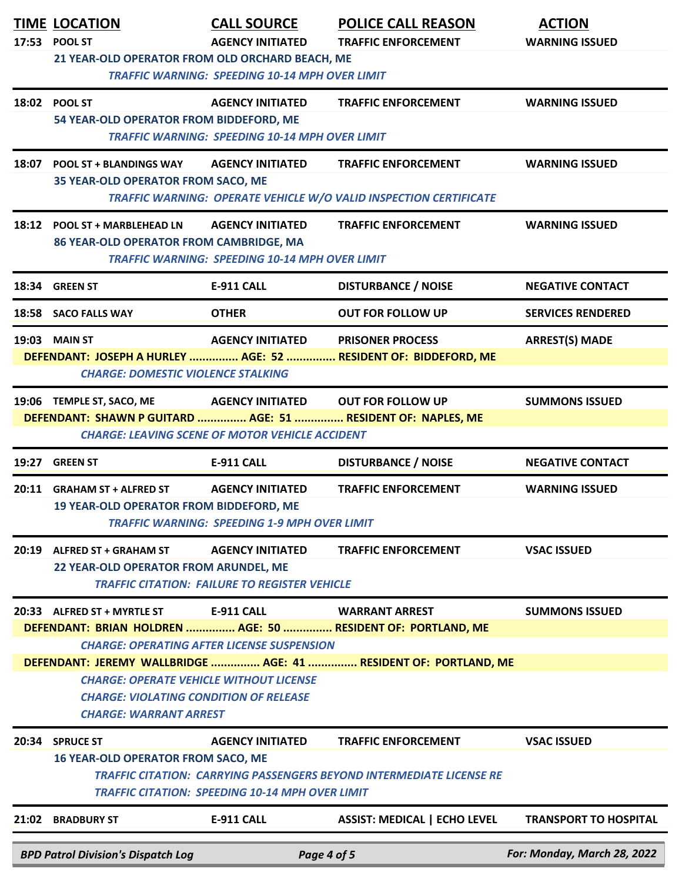|       | <b>TIME LOCATION</b><br>17:53 POOL ST<br>21 YEAR-OLD OPERATOR FROM OLD ORCHARD BEACH, ME                                                                                                                           | <b>CALL SOURCE</b><br><b>AGENCY INITIATED</b><br><b>TRAFFIC WARNING: SPEEDING 10-14 MPH OVER LIMIT</b> | <b>POLICE CALL REASON</b><br><b>TRAFFIC ENFORCEMENT</b>                                                                                                   | <b>ACTION</b><br><b>WARNING ISSUED</b> |  |  |
|-------|--------------------------------------------------------------------------------------------------------------------------------------------------------------------------------------------------------------------|--------------------------------------------------------------------------------------------------------|-----------------------------------------------------------------------------------------------------------------------------------------------------------|----------------------------------------|--|--|
|       | 18:02 POOL ST<br>54 YEAR-OLD OPERATOR FROM BIDDEFORD, ME                                                                                                                                                           | <b>AGENCY INITIATED</b><br><b>TRAFFIC WARNING: SPEEDING 10-14 MPH OVER LIMIT</b>                       | <b>TRAFFIC ENFORCEMENT</b>                                                                                                                                | <b>WARNING ISSUED</b>                  |  |  |
|       | 18:07 POOL ST + BLANDINGS WAY<br>35 YEAR-OLD OPERATOR FROM SACO, ME                                                                                                                                                | <b>AGENCY INITIATED</b>                                                                                | <b>TRAFFIC ENFORCEMENT</b><br>TRAFFIC WARNING: OPERATE VEHICLE W/O VALID INSPECTION CERTIFICATE                                                           | <b>WARNING ISSUED</b>                  |  |  |
|       | 18:12 POOL ST + MARBLEHEAD LN<br>86 YEAR-OLD OPERATOR FROM CAMBRIDGE, MA                                                                                                                                           | <b>AGENCY INITIATED</b><br><b>TRAFFIC WARNING: SPEEDING 10-14 MPH OVER LIMIT</b>                       | <b>TRAFFIC ENFORCEMENT</b>                                                                                                                                | <b>WARNING ISSUED</b>                  |  |  |
|       | 18:34 GREEN ST                                                                                                                                                                                                     | <b>E-911 CALL</b>                                                                                      | <b>DISTURBANCE / NOISE</b>                                                                                                                                | <b>NEGATIVE CONTACT</b>                |  |  |
|       | 18:58 SACO FALLS WAY                                                                                                                                                                                               | <b>OTHER</b>                                                                                           | <b>OUT FOR FOLLOW UP</b>                                                                                                                                  | <b>SERVICES RENDERED</b>               |  |  |
|       | <b>19:03 MAIN ST</b><br><b>CHARGE: DOMESTIC VIOLENCE STALKING</b>                                                                                                                                                  | <b>AGENCY INITIATED</b>                                                                                | <b>PRISONER PROCESS</b><br>DEFENDANT: JOSEPH A HURLEY  AGE: 52  RESIDENT OF: BIDDEFORD, ME                                                                | <b>ARREST(S) MADE</b>                  |  |  |
|       | 19:06 TEMPLE ST, SACO, ME<br>AGENCY INITIATED OUT FOR FOLLOW UP<br><b>SUMMONS ISSUED</b><br>DEFENDANT: SHAWN P GUITARD  AGE: 51  RESIDENT OF: NAPLES, ME<br><b>CHARGE: LEAVING SCENE OF MOTOR VEHICLE ACCIDENT</b> |                                                                                                        |                                                                                                                                                           |                                        |  |  |
| 19:27 | <b>GREEN ST</b>                                                                                                                                                                                                    | <b>E-911 CALL</b>                                                                                      | <b>DISTURBANCE / NOISE</b>                                                                                                                                | <b>NEGATIVE CONTACT</b>                |  |  |
|       | 20:11 GRAHAM ST + ALFRED ST<br><b>19 YEAR-OLD OPERATOR FROM BIDDEFORD, ME</b>                                                                                                                                      | <b>AGENCY INITIATED</b><br><b>TRAFFIC WARNING: SPEEDING 1-9 MPH OVER LIMIT</b>                         | <b>TRAFFIC ENFORCEMENT</b>                                                                                                                                | <b>WARNING ISSUED</b>                  |  |  |
|       | 20:19 ALFRED ST + GRAHAM ST<br>22 YEAR-OLD OPERATOR FROM ARUNDEL, ME                                                                                                                                               | <b>AGENCY INITIATED</b><br><b>TRAFFIC CITATION: FAILURE TO REGISTER VEHICLE</b>                        | <b>TRAFFIC ENFORCEMENT</b>                                                                                                                                | <b>VSAC ISSUED</b>                     |  |  |
|       | 20:33 ALFRED ST + MYRTLE ST                                                                                                                                                                                        | <b>E-911 CALL</b><br><b>CHARGE: OPERATING AFTER LICENSE SUSPENSION</b>                                 | <b>WARRANT ARREST</b><br>DEFENDANT: BRIAN HOLDREN  AGE: 50  RESIDENT OF: PORTLAND, ME<br>DEFENDANT: JEREMY WALLBRIDGE  AGE: 41  RESIDENT OF: PORTLAND, ME | <b>SUMMONS ISSUED</b>                  |  |  |
|       | <b>CHARGE: OPERATE VEHICLE WITHOUT LICENSE</b><br><b>CHARGE: VIOLATING CONDITION OF RELEASE</b><br><b>CHARGE: WARRANT ARREST</b>                                                                                   |                                                                                                        |                                                                                                                                                           |                                        |  |  |
|       | 20:34 SPRUCE ST<br><b>16 YEAR-OLD OPERATOR FROM SACO, ME</b>                                                                                                                                                       | <b>AGENCY INITIATED</b><br><b>TRAFFIC CITATION: SPEEDING 10-14 MPH OVER LIMIT</b>                      | <b>TRAFFIC ENFORCEMENT</b><br><b>TRAFFIC CITATION: CARRYING PASSENGERS BEYOND INTERMEDIATE LICENSE RE</b>                                                 | <b>VSAC ISSUED</b>                     |  |  |
|       | 21:02 BRADBURY ST                                                                                                                                                                                                  | <b>E-911 CALL</b>                                                                                      | <b>ASSIST: MEDICAL   ECHO LEVEL</b>                                                                                                                       | <b>TRANSPORT TO HOSPITAL</b>           |  |  |
|       | <b>BPD Patrol Division's Dispatch Log</b>                                                                                                                                                                          | Page 4 of 5                                                                                            |                                                                                                                                                           | For: Monday, March 28, 2022            |  |  |